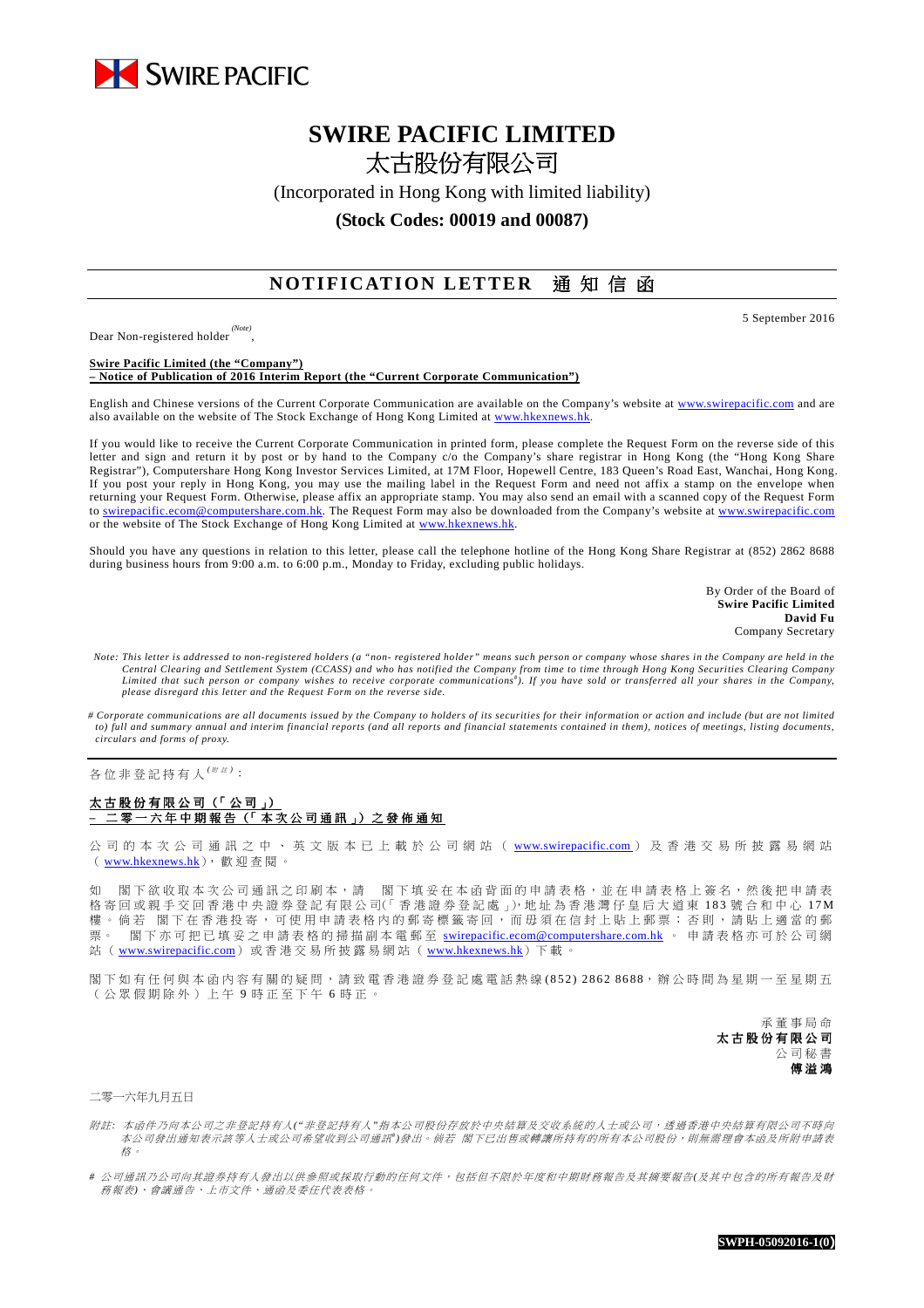

# **SWIRE PACIFIC LIMITED**  太古股份有限公司

(Incorporated in Hong Kong with limited liability)

**(Stock Codes: 00019 and 00087)** 

## **NOTIFICATION LETTER** 通知信函

Dear Non-registered holder *(Note)* ,

5 September 2016

#### **Swire Pacific Limited (the "Company") – Notice of Publication of 2016 Interim Report (the "Current Corporate Communication")**

English and Chinese versions of the Current Corporate Communication are available on the Company's website at www.swirepacific.com and are also available on the website of The Stock Exchange of Hong Kong Limited at www.hkexnews.hl

If you would like to receive the Current Corporate Communication in printed form, please complete the Request Form on the reverse side of this letter and sign and return it by post or by hand to the Company c/o the Company's share registrar in Hong Kong (the "Hong Kong Share Registrar"), Computershare Hong Kong Investor Services Limited, at 17M Floor, Hopewell Centre, 183 Queen's Road East, Wanchai, Hong Kong. If you post your reply in Hong Kong, you may use the mailing label in the Request Form and need not affix a stamp on the envelope when returning your Request Form. Otherwise, please affix an appropriate stamp. You may also send an email with a scanned copy of the Request Form to swirepacific.ecom@computershare.com.hk. The Request Form may also be downloaded from the Company's website at www.swirepacific.com or the website of The Stock Exchange of Hong Kong Limited at www.hkexnews.hk.

Should you have any questions in relation to this letter, please call the telephone hotline of the Hong Kong Share Registrar at (852) 2862 8688 during business hours from 9:00 a.m. to 6:00 p.m., Monday to Friday, excluding public holidays.

> By Order of the Board of **Swire Pacific Limited David Fu** Company Secretary

- *Note: This letter is addressed to non-registered holders (a "non- registered holder" means such person or company whose shares in the Company are held in the*  Central Clearing and Settlement System (CCASS) and who has notified the Company from time to time through Hong Kong Securities Clearing Company<br>Limited that such person or company wishes to receive corporate communications *please disregard this letter and the Request Form on the reverse side.*
- *# Corporate communications are all documents issued by the Company to holders of its securities for their information or action and include (but are not limited to) full and summary annual and interim financial reports (and all reports and financial statements contained in them), notices of meetings, listing documents, circulars and forms of proxy.*

各位非登記持有人<sup>( / 注)</sup>:

## 大古股份有限公司(「公司」) 二 零 一 六 年 中 期 報 告 (「 本 次 公 司 通 訊 」) 之 發 佈 通 知

公 司 的 本 次 公 司 通 訊 之 中 、 英 文 版 本 已 上 載 於 公 司 網 站 ( www.swirepacific.com) 及 香 港 交 易 所 披 露 易 網 站 ( www.hkexnews.hk), 歡 迎 查 閱 。

如 閣下欲收取本次公司通訊之印刷本,請 閣下填妥在本函背面的申請表格,並在申請表格上簽名,然後把申請表 格 寄 回 或 親 手 交 回 香 港 中 央 證 券 登 記 有 限 公 司(「 香 港 證 券 登 記 處 」), 地 址 為 香 港 灣 仔 皇 后 大 道 東 183 號 合 和 中 心 17M 樓。倘若 閣下在香港投寄,可使用申請表格內的郵寄標籤寄回,而毋須在信封上貼上郵票;否則,請貼上適當的郵 票。 閣下亦可把已填妥之申請表格的掃描副本電郵至 swirepacific.ecom@computershare.com.hk 。 申請表格亦可於公司網 站 ( www.swirepacific.com) 或 香 港 交 易 所 披 露 易 網 站 ( www.hkexnews.hk) 下 載 。

閣 下 如 有 任 何 與 本 函 內 容 有 關 的 疑 問 , 請 致 電 香 港 證 券 登 記 處 電 話 熱 線 ( 8 5 2 ) 2 8 62 86 88, 辦 公 時 間 為 星 期 一 至 星 期 五 ( 公 眾 假 期 除 外 ) 上 午 9 時 正 至 下 午 6 時 正 。

> 承 董 事 局 命 太古股份有限公司 公 司 秘 書 傅 溢 鴻

二零一六年九月五日

- 附註:本 函件乃向本公司之非登記持有人("非登記持有人"指本公司股份存放於中央結算及交收系統的人士或公司,透過香港中央結算有限公司不時向 本公司發出通知表示該等人士或公司希望收到公司通訊")發出。倘若 閣下已出售或轉讓所持有的所有本公司股份,則無需理會本函及所附申請表 格 。
- *#* 公 司 通 訊 乃 公 司 向 其 證 券 持 有 人 發 出 以 供 參 照 或 採 取 行 動 的 任 何 文 件 , 包 括 但 不 限 於 年 度 和 中 期 財 務 報 告 及 其 摘 要 報告*(*及 其 中 包 含 的 所 有 報 告 及 財 務 報 表*)*、 會議 通 告 、 上 市文 件 、 通 函 及 委 任代 表 表 格 。

**SWPH-05092016-1(0)**